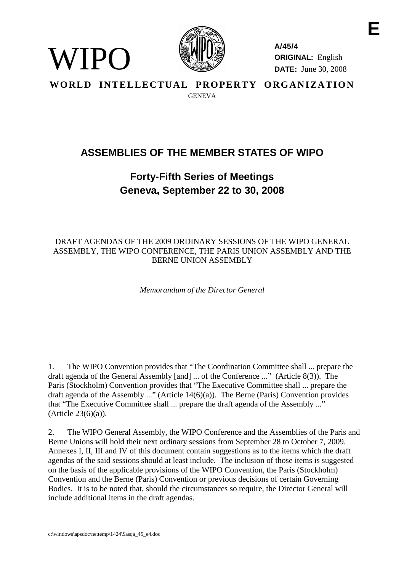

**A/45/4 ORIGINAL:** English **DATE:** June 30, 2008 **E**

**WORLD INTELLECTUAL PROPERTY ORGANIZATION GENEVA** 

# **ASSEMBLIES OF THE MEMBER STATES OF WIPO**

## **Forty-Fifth Series of Meetings Geneva, September 22 to 30, 2008**

## DRAFT AGENDAS OF THE 2009 ORDINARY SESSIONS OF THE WIPO GENERAL ASSEMBLY, THE WIPO CONFERENCE, THE PARIS UNION ASSEMBLY AND THE BERNE UNION ASSEMBLY

*Memorandum of the Director General*

1. The WIPO Convention provides that "The Coordination Committee shall ... prepare the draft agenda of the General Assembly [and] ... of the Conference ..." (Article 8(3)). The Paris (Stockholm) Convention provides that "The Executive Committee shall ... prepare the draft agenda of the Assembly ..." (Article 14(6)(a)). The Berne (Paris) Convention provides that "The Executive Committee shall ... prepare the draft agenda of the Assembly ..."  $(A<sup>rt</sup>icle 23(6)(a)).$ 

2. The WIPO General Assembly, the WIPO Conference and the Assemblies of the Paris and Berne Unions will hold their next ordinary sessions from September 28 to October 7, 2009. Annexes I, II, III and IV of this document contain suggestions as to the items which the draft agendas of the said sessions should at least include. The inclusion of those items is suggested on the basis of the applicable provisions of the WIPO Convention, the Paris (Stockholm) Convention and the Berne (Paris) Convention or previous decisions of certain Governing Bodies. It is to be noted that, should the circumstances so require, the Director General will include additional items in the draft agendas.

WIPO)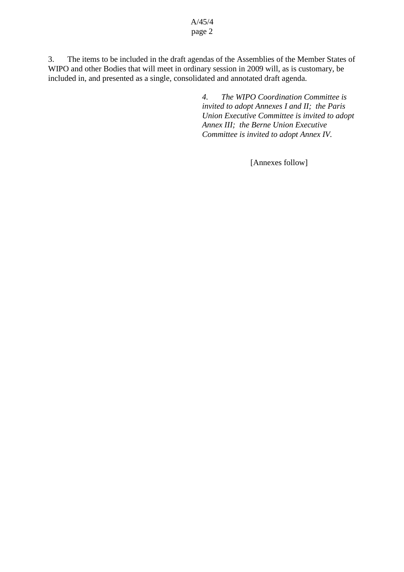#### A/45/4 page 2

3. The items to be included in the draft agendas of the Assemblies of the Member States of WIPO and other Bodies that will meet in ordinary session in 2009 will, as is customary, be included in, and presented as a single, consolidated and annotated draft agenda.

> *4. The WIPO Coordination Committee is invited to adopt Annexes I and II; the Paris Union Executive Committee is invited to adopt Annex III; the Berne Union Executive Committee is invited to adopt Annex IV.*

> > [Annexes follow]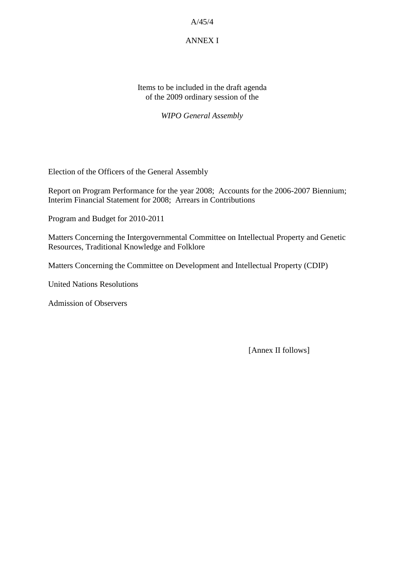## ANNEX I

Items to be included in the draft agenda of the 2009 ordinary session of the

*WIPO General Assembly*

Election of the Officers of the General Assembly

Report on Program Performance for the year 2008; Accounts for the 2006-2007 Biennium; Interim Financial Statement for 2008; Arrears in Contributions

Program and Budget for 2010-2011

Matters Concerning the Intergovernmental Committee on Intellectual Property and Genetic Resources, Traditional Knowledge and Folklore

Matters Concerning the Committee on Development and Intellectual Property (CDIP)

United Nations Resolutions

Admission of Observers

[Annex II follows]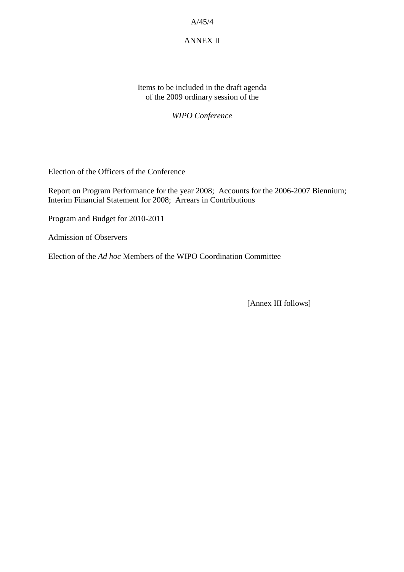## ANNEX II

Items to be included in the draft agenda of the 2009 ordinary session of the

*WIPO Conference*

Election of the Officers of the Conference

Report on Program Performance for the year 2008; Accounts for the 2006-2007 Biennium; Interim Financial Statement for 2008; Arrears in Contributions

Program and Budget for 2010-2011

Admission of Observers

Election of the *Ad hoc* Members of the WIPO Coordination Committee

[Annex III follows]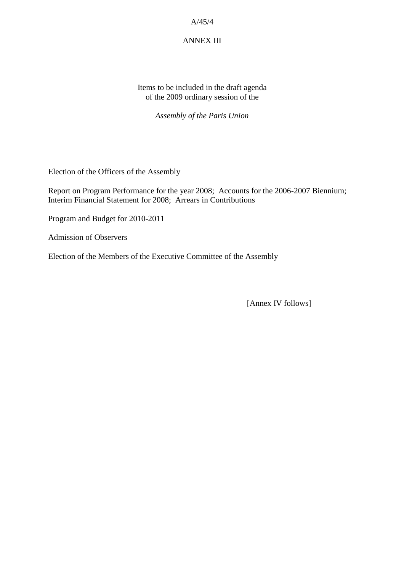#### ANNEX III

Items to be included in the draft agenda of the 2009 ordinary session of the

*Assembly of the Paris Union*

Election of the Officers of the Assembly

Report on Program Performance for the year 2008; Accounts for the 2006-2007 Biennium; Interim Financial Statement for 2008; Arrears in Contributions

Program and Budget for 2010-2011

Admission of Observers

Election of the Members of the Executive Committee of the Assembly

[Annex IV follows]